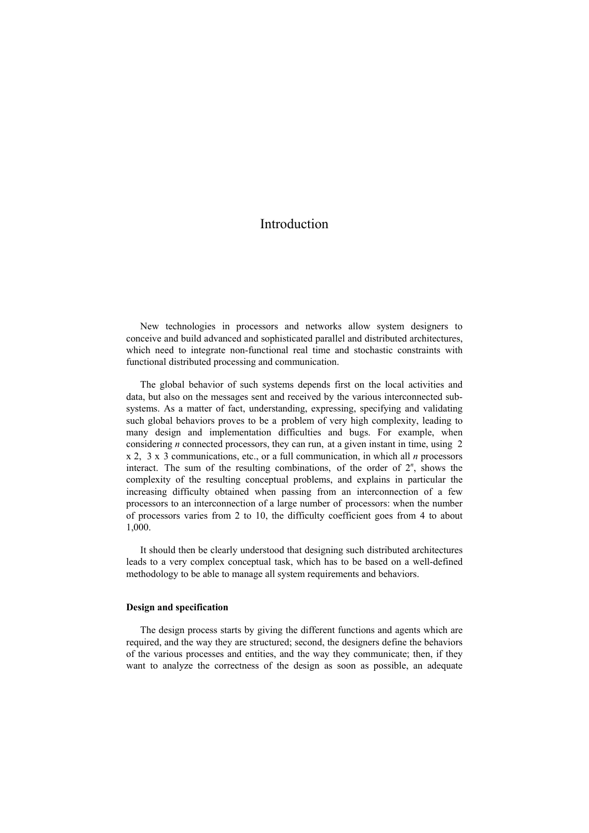# Introduction

New technologies in processors and networks allow system designers to conceive and build advanced and sophisticated parallel and distributed architectures, which need to integrate non-functional real time and stochastic constraints with functional distributed processing and communication.

The global behavior of such systems depends first on the local activities and data, but also on the messages sent and received by the various interconnected subsystems. As a matter of fact, understanding, expressing, specifying and validating such global behaviors proves to be a problem of very high complexity, leading to many design and implementation difficulties and bugs. For example, when considering *n* connected processors, they can run, at a given instant in time, using 2 x 2, 3 x 3 communications, etc., or a full communication, in which all *n* processors interact. The sum of the resulting combinations, of the order of  $2<sup>n</sup>$ , shows the complexity of the resulting conceptual problems, and explains in particular the increasing difficulty obtained when passing from an interconnection of a few processors to an interconnection of a large number of processors: when the number of processors varies from 2 to 10, the difficulty coefficient goes from 4 to about 1,000.

It should then be clearly understood that designing such distributed architectures leads to a very complex conceptual task, which has to be based on a well-defined methodology to be able to manage all system requirements and behaviors.

# **Design and specification**

The design process starts by giving the different functions and agents which are required, and the way they are structured; second, the designers define the behaviors of the various processes and entities, and the way they communicate; then, if they want to analyze the correctness of the design as soon as possible, an adequate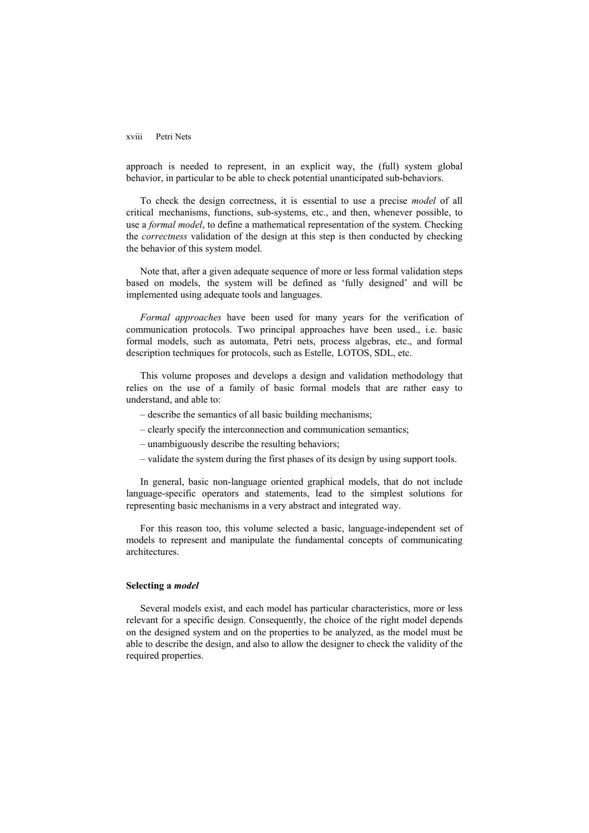#### xviii Petri Nets

approach is needed to represent, in an explicit way, the (full) system global behavior, in particular to be able to check potential unanticipated sub-behaviors.

To check the design correctness, it is essential to use a precise *model* of all critical mechanisms, functions, sub-systems, etc., and then, whenever possible, to use a *formal model*, to define a mathematical representation of the system. Checking the *correctness* validation of the design at this step is then conducted by checking the behavior of this system model.

Note that, after a given adequate sequence of more or less formal validation steps based on models, the system will be defined as 'fully designed' and will be implemented using adequate tools and languages.

*Formal approaches* have been used for many years for the verification of communication protocols. Two principal approaches have been used., i.e. basic formal models, such as automata, Petri nets, process algebras, etc., and formal description techniques for protocols, such as Estelle, LOTOS, SDL, etc.

This volume proposes and develops a design and validation methodology that relies on the use of a family of basic formal models that are rather easy to understand, and able to:

- describe the semantics of all basic building mechanisms;
- clearly specify the interconnection and communication semantics;
- unambiguously describe the resulting behaviors;
- validate the system during the first phases of its design by using support tools.

In general, basic non-language oriented graphical models, that do not include language-specific operators and statements, lead to the simplest solutions for representing basic mechanisms in a very abstract and integrated way.

For this reason too, this volume selected a basic, language-independent set of models to represent and manipulate the fundamental concepts of communicating architectures.

# **Selecting a** *model*

Several models exist, and each model has particular characteristics, more or less relevant for a specific design. Consequently, the choice of the right model depends on the designed system and on the properties to be analyzed, as the model must be able to describe the design, and also to allow the designer to check the validity of the required properties.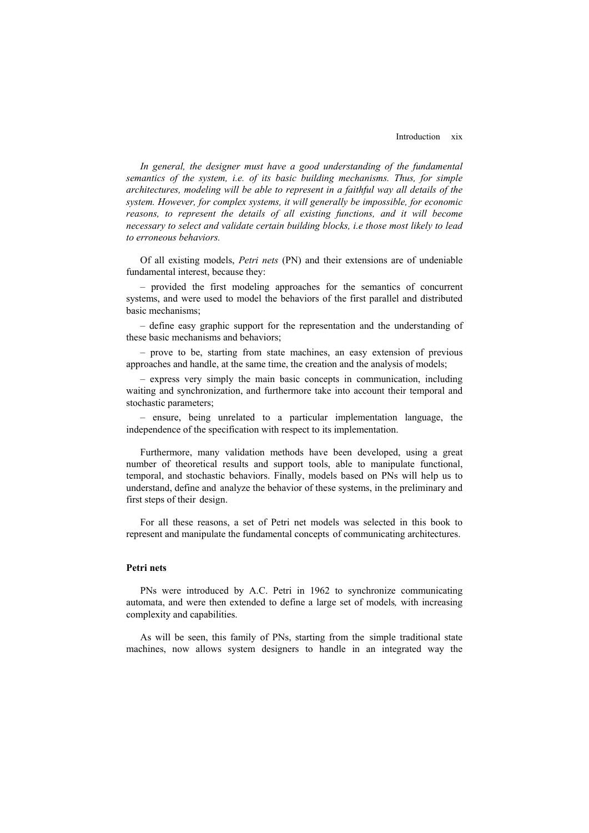In general, the designer must have a good understanding of the fundamental *semantics of the system, i.e. of its basic building mechanisms. Thus, for simple architectures, modeling will be able to represent in a faithful way all details of the system. However, for complex systems, it will generally be impossible, for economic reasons, to represent the details of all existing functions, and it will become necessary to select and validate certain building blocks, i.e those most likely to lead to erroneous behaviors.*

Of all existing models, *Petri nets* (PN) and their extensions are of undeniable fundamental interest, because they:

– provided the first modeling approaches for the semantics of concurrent systems, and were used to model the behaviors of the first parallel and distributed basic mechanisms;

– define easy graphic support for the representation and the understanding of these basic mechanisms and behaviors;

– prove to be, starting from state machines, an easy extension of previous approaches and handle, at the same time, the creation and the analysis of models;

– express very simply the main basic concepts in communication, including waiting and synchronization, and furthermore take into account their temporal and stochastic parameters;

– ensure, being unrelated to a particular implementation language, the independence of the specification with respect to its implementation.

Furthermore, many validation methods have been developed, using a great number of theoretical results and support tools, able to manipulate functional, temporal, and stochastic behaviors. Finally, models based on PNs will help us to understand, define and analyze the behavior of these systems, in the preliminary and first steps of their design.

For all these reasons, a set of Petri net models was selected in this book to represent and manipulate the fundamental concepts of communicating architectures.

# **Petri nets**

PNs were introduced by A.C. Petri in 1962 to synchronize communicating automata, and were then extended to define a large set of models*,* with increasing complexity and capabilities.

As will be seen, this family of PNs, starting from the simple traditional state machines, now allows system designers to handle in an integrated way the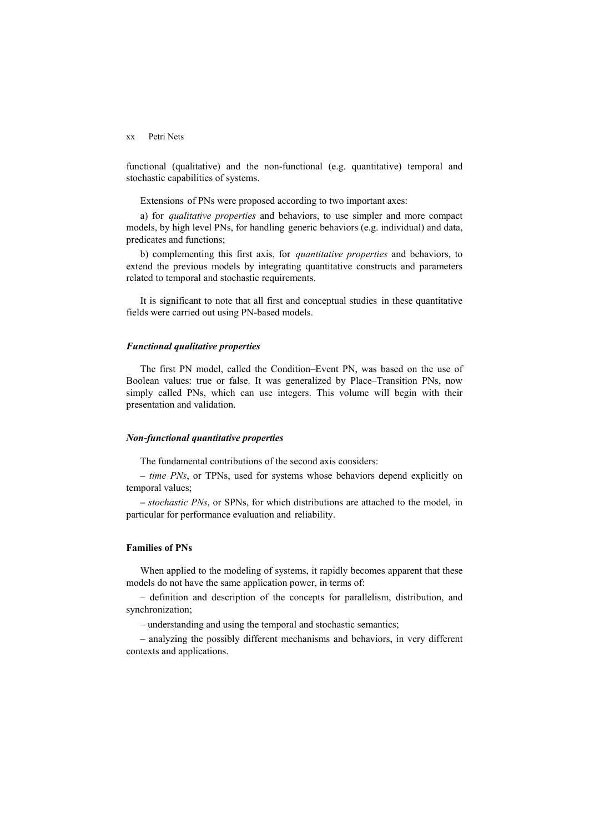# xx Petri Nets

functional (qualitative) and the non-functional (e.g. quantitative) temporal and stochastic capabilities of systems.

Extensions of PNs were proposed according to two important axes:

a) for *qualitative properties* and behaviors, to use simpler and more compact models, by high level PNs, for handling generic behaviors (e.g. individual) and data, predicates and functions;

b) complementing this first axis, for *quantitative properties* and behaviors, to extend the previous models by integrating quantitative constructs and parameters related to temporal and stochastic requirements.

It is significant to note that all first and conceptual studies in these quantitative fields were carried out using PN-based models.

### *Functional qualitative properties*

The first PN model, called the Condition–Event PN, was based on the use of Boolean values: true or false. It was generalized by Place–Transition PNs, now simply called PNs, which can use integers. This volume will begin with their presentation and validation.

#### *Non-functional quantitative properties*

The fundamental contributions of the second axis considers:

**–** *time PNs*, or TPNs, used for systems whose behaviors depend explicitly on temporal values;

**–** *stochastic PNs*, or SPNs, for which distributions are attached to the model, in particular for performance evaluation and reliability.

# **Families of PNs**

When applied to the modeling of systems, it rapidly becomes apparent that these models do not have the same application power, in terms of:

– definition and description of the concepts for parallelism, distribution, and synchronization;

– understanding and using the temporal and stochastic semantics;

– analyzing the possibly different mechanisms and behaviors, in very different contexts and applications.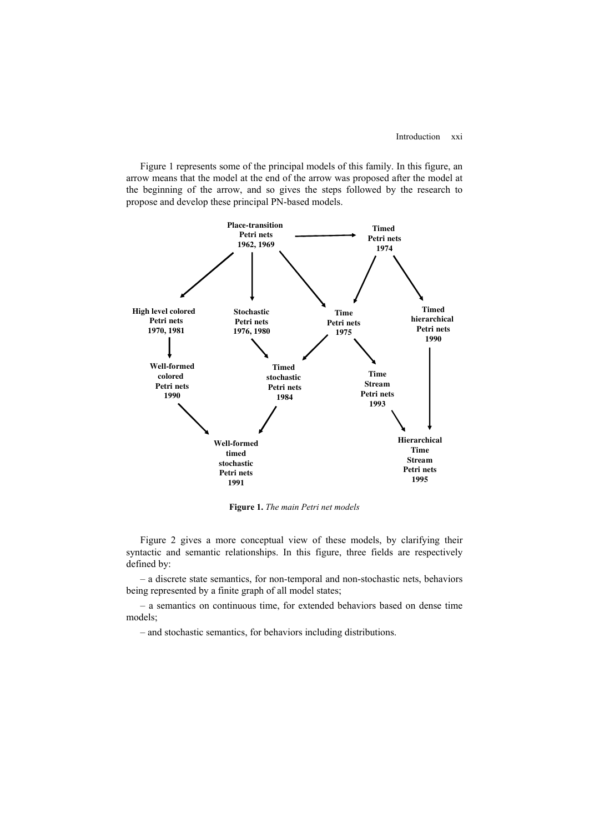Figure 1 represents some of the principal models of this family. In this figure, an arrow means that the model at the end of the arrow was proposed after the model at the beginning of the arrow, and so gives the steps followed by the research to propose and develop these principal PN-based models.



**Figure 1.** *The main Petri net models* 

Figure 2 gives a more conceptual view of these models, by clarifying their syntactic and semantic relationships. In this figure, three fields are respectively defined by:

– a discrete state semantics, for non-temporal and non-stochastic nets, behaviors being represented by a finite graph of all model states;

– a semantics on continuous time, for extended behaviors based on dense time models;

– and stochastic semantics, for behaviors including distributions.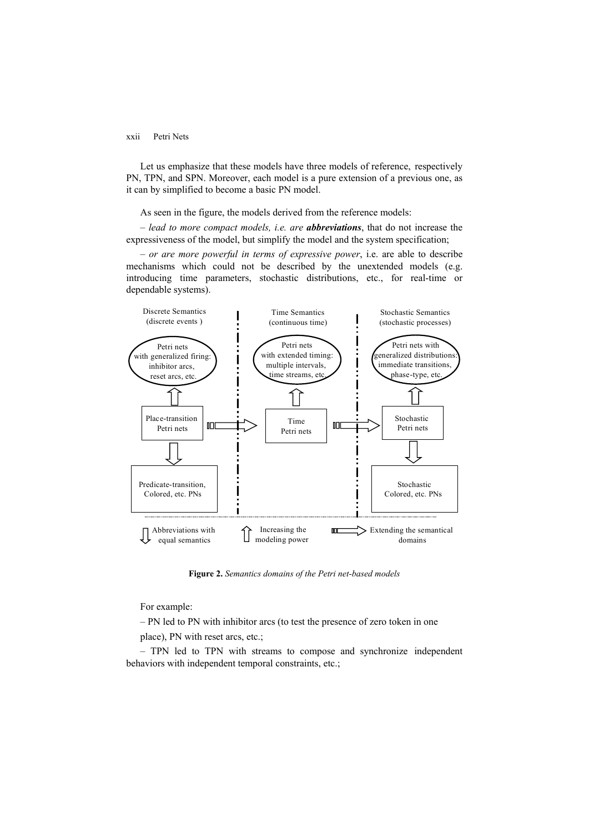## xxii Petri Nets

Let us emphasize that these models have three models of reference, respectively PN, TPN, and SPN. Moreover, each model is a pure extension of a previous one, as it can by simplified to become a basic PN model.

As seen in the figure, the models derived from the reference models:

– *lead to more compact models, i.e. are abbreviations*, that do not increase the expressiveness of the model, but simplify the model and the system specification;

– *or are more powerful in terms of expressive power*, i.e. are able to describe mechanisms which could not be described by the unextended models (e.g. introducing time parameters, stochastic distributions, etc., for real-time or dependable systems).



**Figure 2.** *Semantics domains of the Petri net-based models* 

For example:

– PN led to PN with inhibitor arcs (to test the presence of zero token in one place), PN with reset arcs, etc.;

– TPN led to TPN with streams to compose and synchronize independent behaviors with independent temporal constraints, etc.;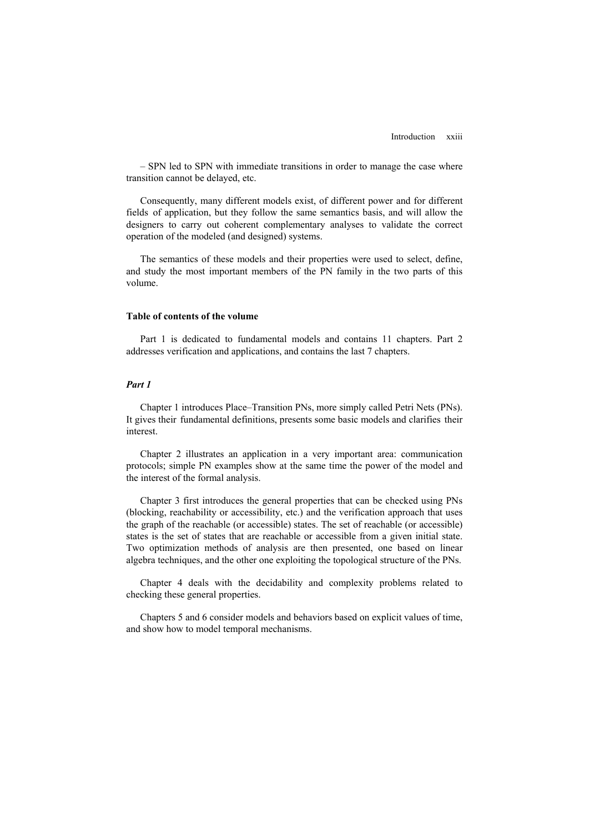– SPN led to SPN with immediate transitions in order to manage the case where transition cannot be delayed, etc.

Consequently, many different models exist, of different power and for different fields of application, but they follow the same semantics basis, and will allow the designers to carry out coherent complementary analyses to validate the correct operation of the modeled (and designed) systems.

The semantics of these models and their properties were used to select, define, and study the most important members of the PN family in the two parts of this volume.

#### **Table of contents of the volume**

Part 1 is dedicated to fundamental models and contains 11 chapters. Part 2 addresses verification and applications, and contains the last 7 chapters.

# *Part 1*

Chapter 1 introduces Place–Transition PNs, more simply called Petri Nets (PNs). It gives their fundamental definitions, presents some basic models and clarifies their interest.

Chapter 2 illustrates an application in a very important area: communication protocols; simple PN examples show at the same time the power of the model and the interest of the formal analysis.

Chapter 3 first introduces the general properties that can be checked using PNs (blocking, reachability or accessibility, etc.) and the verification approach that uses the graph of the reachable (or accessible) states. The set of reachable (or accessible) states is the set of states that are reachable or accessible from a given initial state. Two optimization methods of analysis are then presented, one based on linear algebra techniques, and the other one exploiting the topological structure of the PNs.

Chapter 4 deals with the decidability and complexity problems related to checking these general properties.

Chapters 5 and 6 consider models and behaviors based on explicit values of time, and show how to model temporal mechanisms.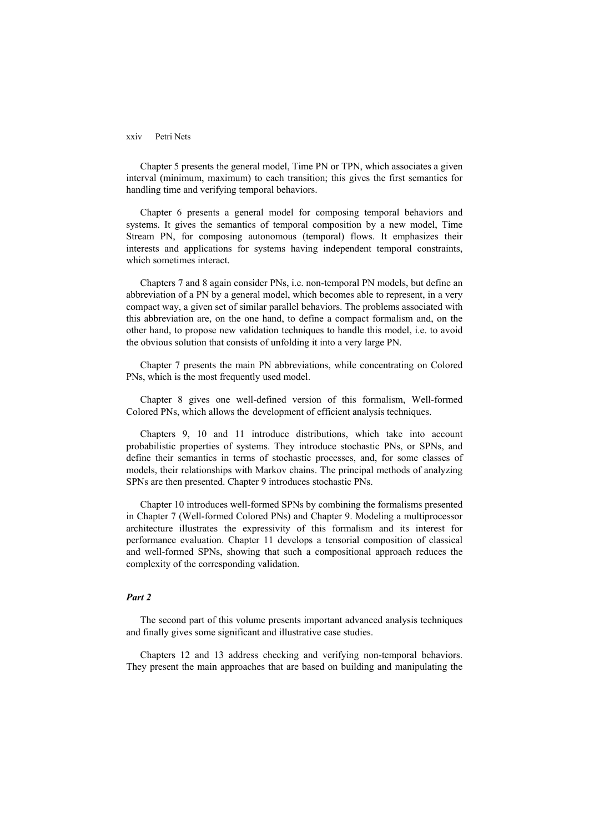### xxiv Petri Nets

Chapter 5 presents the general model, Time PN or TPN, which associates a given interval (minimum, maximum) to each transition; this gives the first semantics for handling time and verifying temporal behaviors.

Chapter 6 presents a general model for composing temporal behaviors and systems. It gives the semantics of temporal composition by a new model, Time Stream PN, for composing autonomous (temporal) flows. It emphasizes their interests and applications for systems having independent temporal constraints, which sometimes interact.

Chapters 7 and 8 again consider PNs, i.e. non-temporal PN models, but define an abbreviation of a PN by a general model, which becomes able to represent, in a very compact way, a given set of similar parallel behaviors. The problems associated with this abbreviation are, on the one hand, to define a compact formalism and, on the other hand, to propose new validation techniques to handle this model, i.e. to avoid the obvious solution that consists of unfolding it into a very large PN.

Chapter 7 presents the main PN abbreviations, while concentrating on Colored PNs, which is the most frequently used model.

Chapter 8 gives one well-defined version of this formalism, Well-formed Colored PNs, which allows the development of efficient analysis techniques.

Chapters 9, 10 and 11 introduce distributions, which take into account probabilistic properties of systems. They introduce stochastic PNs, or SPNs, and define their semantics in terms of stochastic processes, and, for some classes of models, their relationships with Markov chains. The principal methods of analyzing SPNs are then presented. Chapter 9 introduces stochastic PNs.

Chapter 10 introduces well-formed SPNs by combining the formalisms presented in Chapter 7 (Well-formed Colored PNs) and Chapter 9. Modeling a multiprocessor architecture illustrates the expressivity of this formalism and its interest for performance evaluation. Chapter 11 develops a tensorial composition of classical and well-formed SPNs, showing that such a compositional approach reduces the complexity of the corresponding validation.

#### *Part 2*

The second part of this volume presents important advanced analysis techniques and finally gives some significant and illustrative case studies.

Chapters 12 and 13 address checking and verifying non-temporal behaviors. They present the main approaches that are based on building and manipulating the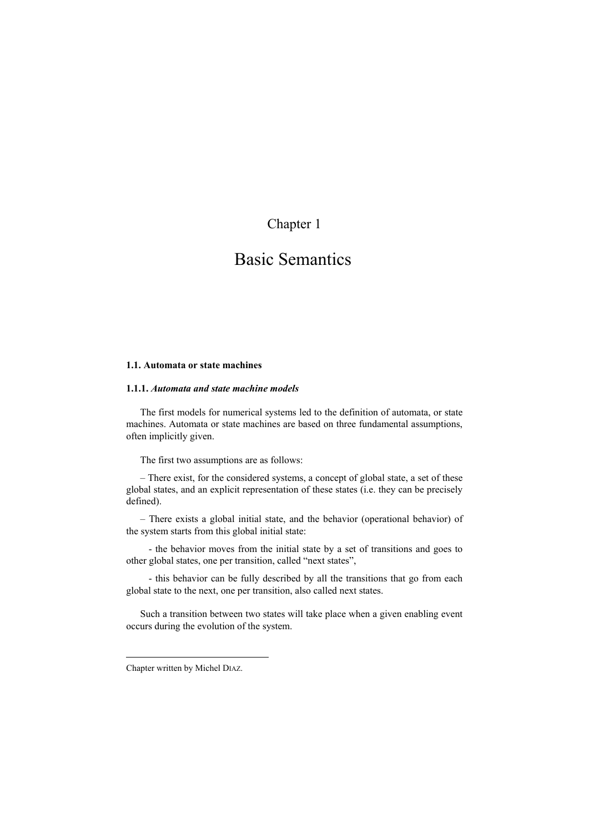# Chapter 1

# Basic Semantics

# **1.1. Automata or state machines**

## **1.1.1.** *Automata and state machine models*

The first models for numerical systems led to the definition of automata, or state machines. Automata or state machines are based on three fundamental assumptions, often implicitly given.

The first two assumptions are as follows:

– There exist, for the considered systems, a concept of global state, a set of these global states, and an explicit representation of these states (i.e. they can be precisely defined).

– There exists a global initial state, and the behavior (operational behavior) of the system starts from this global initial state:

- the behavior moves from the initial state by a set of transitions and goes to other global states, one per transition, called "next states",

- this behavior can be fully described by all the transitions that go from each global state to the next, one per transition, also called next states.

Such a transition between two states will take place when a given enabling event occurs during the evolution of the system.

 $\overline{a}$ 

Chapter written by Michel DIAZ.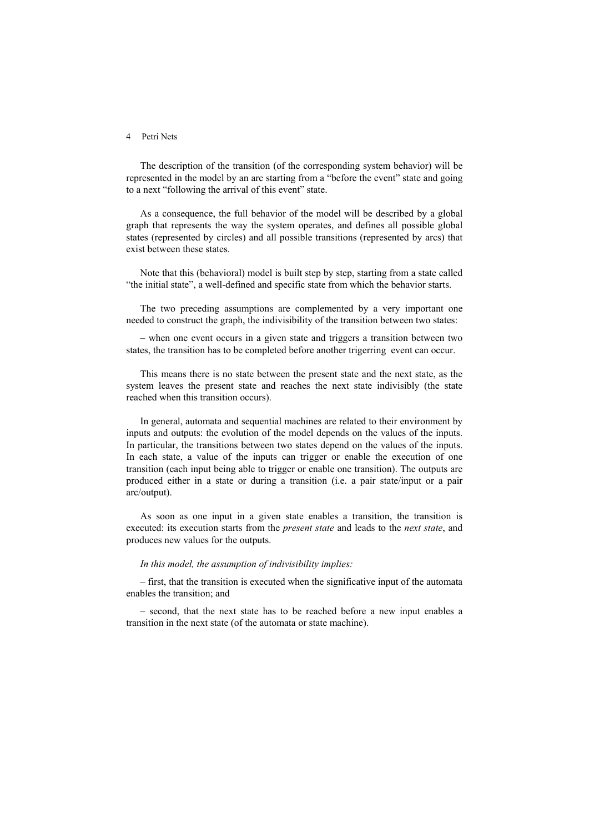The description of the transition (of the corresponding system behavior) will be represented in the model by an arc starting from a "before the event" state and going to a next "following the arrival of this event" state.

As a consequence, the full behavior of the model will be described by a global graph that represents the way the system operates, and defines all possible global states (represented by circles) and all possible transitions (represented by arcs) that exist between these states.

Note that this (behavioral) model is built step by step, starting from a state called "the initial state", a well-defined and specific state from which the behavior starts.

The two preceding assumptions are complemented by a very important one needed to construct the graph, the indivisibility of the transition between two states:

– when one event occurs in a given state and triggers a transition between two states, the transition has to be completed before another trigerring event can occur.

This means there is no state between the present state and the next state, as the system leaves the present state and reaches the next state indivisibly (the state reached when this transition occurs).

In general, automata and sequential machines are related to their environment by inputs and outputs: the evolution of the model depends on the values of the inputs. In particular, the transitions between two states depend on the values of the inputs. In each state, a value of the inputs can trigger or enable the execution of one transition (each input being able to trigger or enable one transition). The outputs are produced either in a state or during a transition (i.e. a pair state/input or a pair arc/output).

As soon as one input in a given state enables a transition, the transition is executed: its execution starts from the *present state* and leads to the *next state*, and produces new values for the outputs.

#### *In this model, the assumption of indivisibility implies:*

– first, that the transition is executed when the significative input of the automata enables the transition; and

– second, that the next state has to be reached before a new input enables a transition in the next state (of the automata or state machine).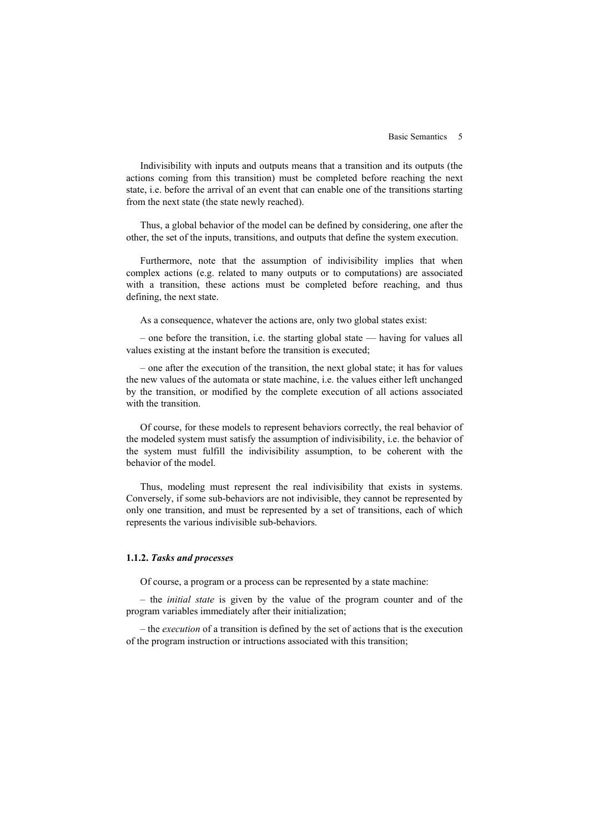Indivisibility with inputs and outputs means that a transition and its outputs (the actions coming from this transition) must be completed before reaching the next state, i.e. before the arrival of an event that can enable one of the transitions starting from the next state (the state newly reached).

Thus, a global behavior of the model can be defined by considering, one after the other, the set of the inputs, transitions, and outputs that define the system execution.

Furthermore, note that the assumption of indivisibility implies that when complex actions (e.g. related to many outputs or to computations) are associated with a transition, these actions must be completed before reaching, and thus defining, the next state.

As a consequence, whatever the actions are, only two global states exist:

– one before the transition, i.e. the starting global state — having for values all values existing at the instant before the transition is executed;

– one after the execution of the transition, the next global state; it has for values the new values of the automata or state machine, i.e. the values either left unchanged by the transition, or modified by the complete execution of all actions associated with the transition

Of course, for these models to represent behaviors correctly, the real behavior of the modeled system must satisfy the assumption of indivisibility, i.e. the behavior of the system must fulfill the indivisibility assumption, to be coherent with the behavior of the model.

Thus, modeling must represent the real indivisibility that exists in systems. Conversely, if some sub-behaviors are not indivisible, they cannot be represented by only one transition, and must be represented by a set of transitions, each of which represents the various indivisible sub-behaviors.

#### **1.1.2.** *Tasks and processes*

Of course, a program or a process can be represented by a state machine:

– the *initial state* is given by the value of the program counter and of the program variables immediately after their initialization;

– the *execution* of a transition is defined by the set of actions that is the execution of the program instruction or intructions associated with this transition;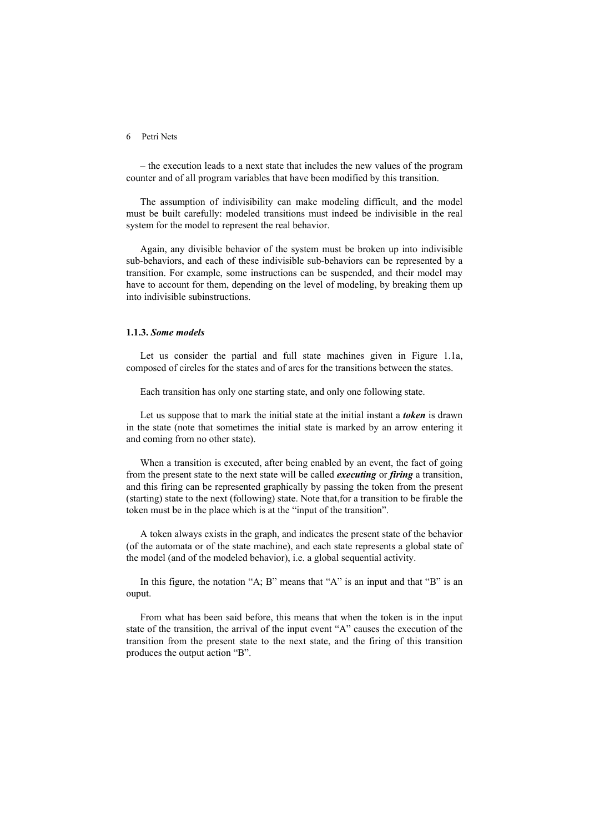– the execution leads to a next state that includes the new values of the program counter and of all program variables that have been modified by this transition.

The assumption of indivisibility can make modeling difficult, and the model must be built carefully: modeled transitions must indeed be indivisible in the real system for the model to represent the real behavior.

Again, any divisible behavior of the system must be broken up into indivisible sub-behaviors, and each of these indivisible sub-behaviors can be represented by a transition. For example, some instructions can be suspended, and their model may have to account for them, depending on the level of modeling, by breaking them up into indivisible subinstructions.

# **1.1.3.** *Some models*

Let us consider the partial and full state machines given in Figure 1.1a, composed of circles for the states and of arcs for the transitions between the states.

Each transition has only one starting state, and only one following state.

Let us suppose that to mark the initial state at the initial instant a *token* is drawn in the state (note that sometimes the initial state is marked by an arrow entering it and coming from no other state).

When a transition is executed, after being enabled by an event, the fact of going from the present state to the next state will be called *executing* or *firing* a transition, and this firing can be represented graphically by passing the token from the present (starting) state to the next (following) state. Note that,for a transition to be firable the token must be in the place which is at the "input of the transition".

A token always exists in the graph, and indicates the present state of the behavior (of the automata or of the state machine), and each state represents a global state of the model (and of the modeled behavior), i.e. a global sequential activity.

In this figure, the notation "A; B" means that "A" is an input and that "B" is an ouput.

From what has been said before, this means that when the token is in the input state of the transition, the arrival of the input event "A" causes the execution of the transition from the present state to the next state, and the firing of this transition produces the output action "B".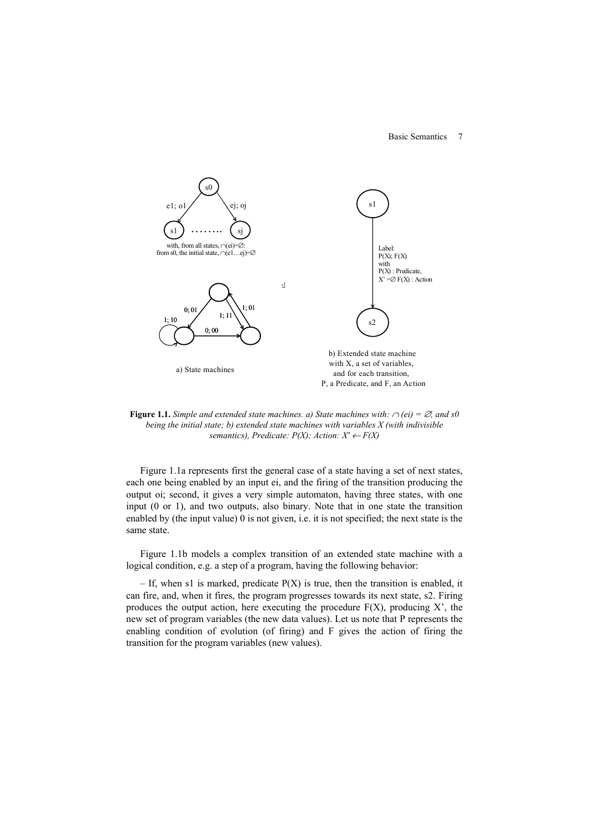

**Figure 1.1.** Simple and extended state machines. a) State machines with:  $\cap$  (ei) =  $\emptyset$ , and s0 *being the initial state; b) extended state machines with variables X (with indivisible semantics), Predicate:*  $P(X)$ *; Action:*  $X' \leftarrow F(X)$ 

Figure 1.1a represents first the general case of a state having a set of next states, each one being enabled by an input ei, and the firing of the transition producing the output oi; second, it gives a very simple automaton, having three states, with one input (0 or 1), and two outputs, also binary. Note that in one state the transition enabled by (the input value) 0 is not given, i.e. it is not specified; the next state is the same state.

Figure 1.1b models a complex transition of an extended state machine with a logical condition, e.g. a step of a program, having the following behavior:

– If, when s1 is marked, predicate  $P(X)$  is true, then the transition is enabled, it can fire, and, when it fires, the program progresses towards its next state, s2. Firing produces the output action, here executing the procedure  $F(X)$ , producing X', the new set of program variables (the new data values). Let us note that P represents the enabling condition of evolution (of firing) and F gives the action of firing the transition for the program variables (new values).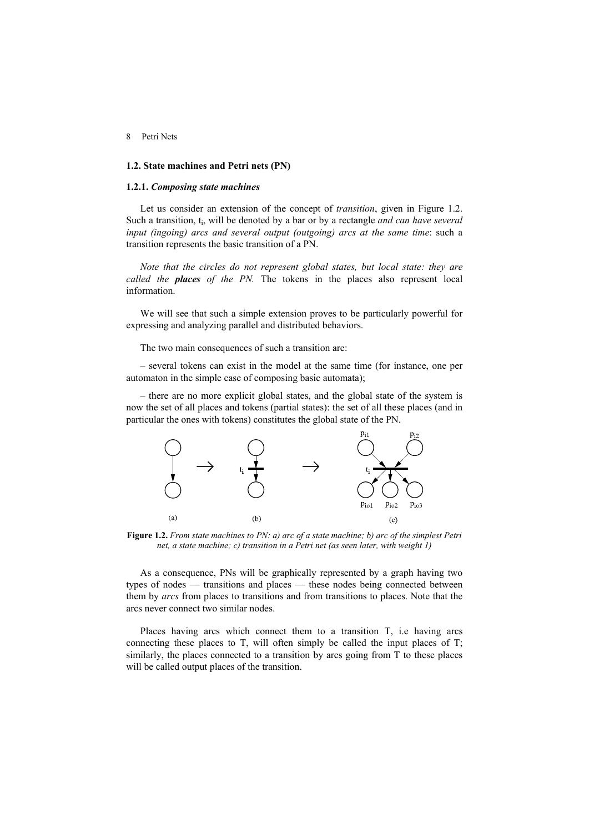## **1.2. State machines and Petri nets (PN)**

# **1.2.1.** *Composing state machines*

Let us consider an extension of the concept of *transition*, given in Figure 1.2. Such a transition, t<sub>i</sub>, will be denoted by a bar or by a rectangle *and can have several input (ingoing) arcs and several output (outgoing) arcs at the same time*: such a transition represents the basic transition of a PN.

*Note that the circles do not represent global states, but local state: they are called the places of the PN.* The tokens in the places also represent local information.

We will see that such a simple extension proves to be particularly powerful for expressing and analyzing parallel and distributed behaviors.

The two main consequences of such a transition are:

– several tokens can exist in the model at the same time (for instance, one per automaton in the simple case of composing basic automata);

– there are no more explicit global states, and the global state of the system is now the set of all places and tokens (partial states): the set of all these places (and in particular the ones with tokens) constitutes the global state of the PN.



**Figure 1.2.** *From state machines to PN: a) arc of a state machine; b) arc of the simplest Petri net, a state machine; c) transition in a Petri net (as seen later, with weight 1)* 

As a consequence, PNs will be graphically represented by a graph having two types of nodes — transitions and places — these nodes being connected between them by *arcs* from places to transitions and from transitions to places. Note that the arcs never connect two similar nodes.

Places having arcs which connect them to a transition T, i.e having arcs connecting these places to T, will often simply be called the input places of T; similarly, the places connected to a transition by arcs going from T to these places will be called output places of the transition.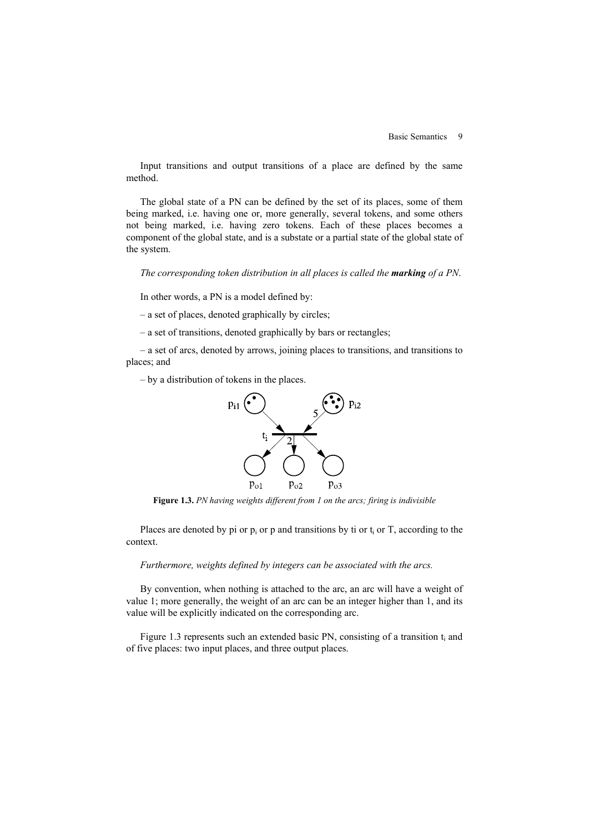Input transitions and output transitions of a place are defined by the same method.

The global state of a PN can be defined by the set of its places, some of them being marked, i.e. having one or, more generally, several tokens, and some others not being marked, i.e. having zero tokens. Each of these places becomes a component of the global state, and is a substate or a partial state of the global state of the system.

*The corresponding token distribution in all places is called the marking of a PN*.

In other words, a PN is a model defined by:

– a set of places, denoted graphically by circles;

– a set of transitions, denoted graphically by bars or rectangles;

– a set of arcs, denoted by arrows, joining places to transitions, and transitions to places; and

– by a distribution of tokens in the places.



**Figure 1.3.** *PN having weights different from 1 on the arcs; firing is indivisible* 

Places are denoted by pi or  $p_i$  or p and transitions by ti or  $t_i$  or T, according to the context.

*Furthermore, weights defined by integers can be associated with the arcs.* 

By convention, when nothing is attached to the arc, an arc will have a weight of value 1; more generally, the weight of an arc can be an integer higher than 1, and its value will be explicitly indicated on the corresponding arc.

Figure 1.3 represents such an extended basic PN, consisting of a transition  $t_i$  and of five places: two input places, and three output places.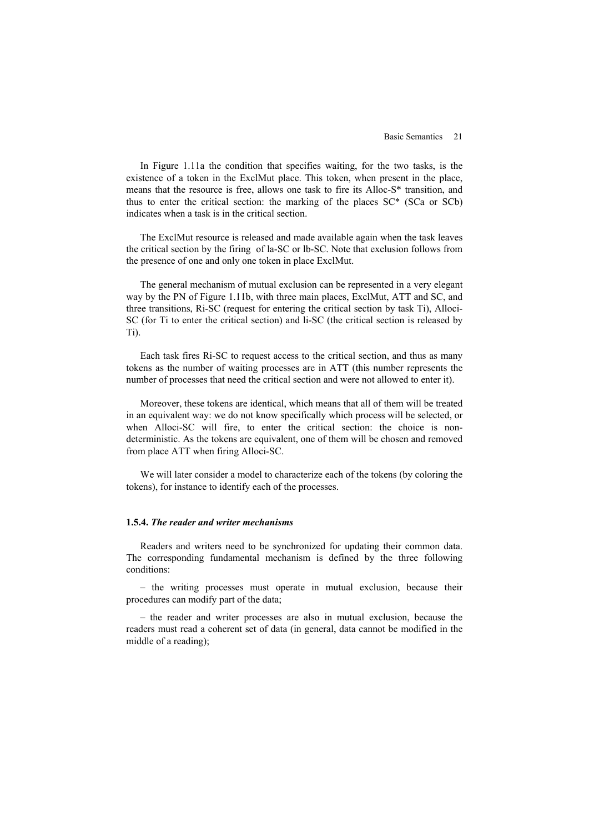In Figure 1.11a the condition that specifies waiting, for the two tasks, is the existence of a token in the ExclMut place. This token, when present in the place, means that the resource is free, allows one task to fire its Alloc-S\* transition, and thus to enter the critical section: the marking of the places  $SC^*$  (SCa or SCb) indicates when a task is in the critical section.

The ExclMut resource is released and made available again when the task leaves the critical section by the firing of la-SC or lb-SC. Note that exclusion follows from the presence of one and only one token in place ExclMut.

The general mechanism of mutual exclusion can be represented in a very elegant way by the PN of Figure 1.11b, with three main places, ExclMut, ATT and SC, and three transitions, Ri-SC (request for entering the critical section by task Ti), Alloci-SC (for Ti to enter the critical section) and li-SC (the critical section is released by Ti).

Each task fires Ri-SC to request access to the critical section, and thus as many tokens as the number of waiting processes are in ATT (this number represents the number of processes that need the critical section and were not allowed to enter it).

Moreover, these tokens are identical, which means that all of them will be treated in an equivalent way: we do not know specifically which process will be selected, or when Alloci-SC will fire, to enter the critical section: the choice is nondeterministic. As the tokens are equivalent, one of them will be chosen and removed from place ATT when firing Alloci-SC.

We will later consider a model to characterize each of the tokens (by coloring the tokens), for instance to identify each of the processes.

#### **1.5.4.** *The reader and writer mechanisms*

Readers and writers need to be synchronized for updating their common data. The corresponding fundamental mechanism is defined by the three following conditions:

– the writing processes must operate in mutual exclusion, because their procedures can modify part of the data;

– the reader and writer processes are also in mutual exclusion, because the readers must read a coherent set of data (in general, data cannot be modified in the middle of a reading);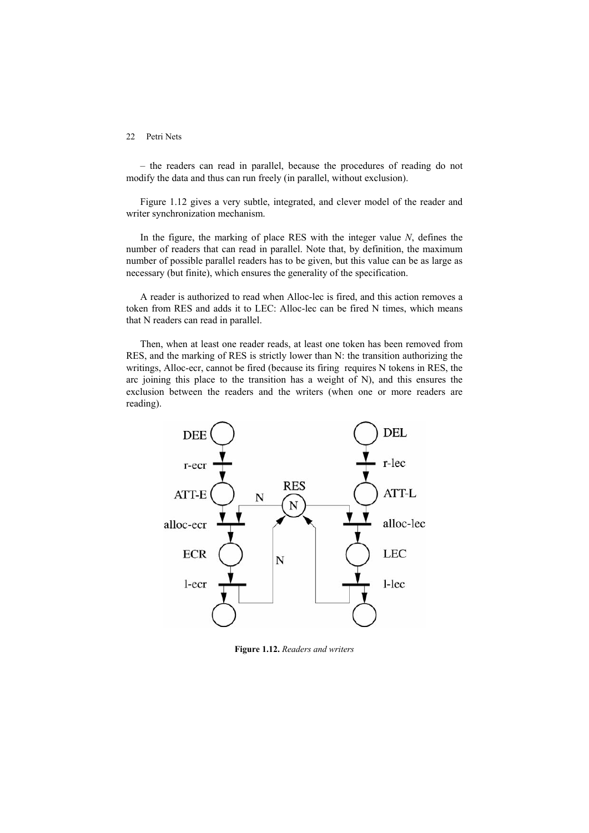– the readers can read in parallel, because the procedures of reading do not modify the data and thus can run freely (in parallel, without exclusion).

Figure 1.12 gives a very subtle, integrated, and clever model of the reader and writer synchronization mechanism.

In the figure, the marking of place RES with the integer value *N*, defines the number of readers that can read in parallel. Note that, by definition, the maximum number of possible parallel readers has to be given, but this value can be as large as necessary (but finite), which ensures the generality of the specification.

A reader is authorized to read when Alloc-lec is fired, and this action removes a token from RES and adds it to LEC: Alloc-lec can be fired N times, which means that N readers can read in parallel.

Then, when at least one reader reads, at least one token has been removed from RES, and the marking of RES is strictly lower than N: the transition authorizing the writings, Alloc-ecr, cannot be fired (because its firing requires N tokens in RES, the arc joining this place to the transition has a weight of N), and this ensures the exclusion between the readers and the writers (when one or more readers are reading).



**Figure 1.12.** *Readers and writers*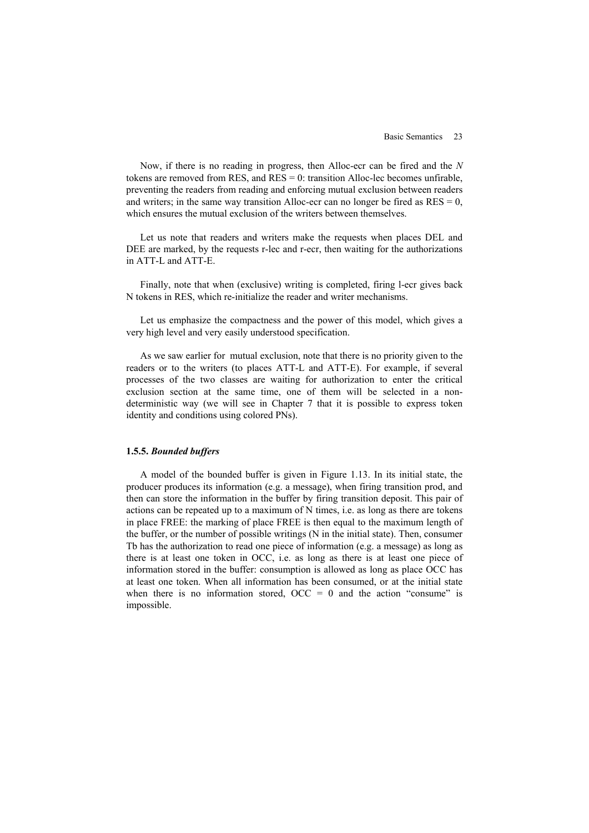Now, if there is no reading in progress, then Alloc-ecr can be fired and the *N* tokens are removed from RES, and RES =  $0$ : transition Alloc-lec becomes unfirable, preventing the readers from reading and enforcing mutual exclusion between readers and writers; in the same way transition Alloc-ecr can no longer be fired as  $RES = 0$ . which ensures the mutual exclusion of the writers between themselves.

Let us note that readers and writers make the requests when places DEL and DEE are marked, by the requests r-lec and r-ecr, then waiting for the authorizations in ATT-L and ATT-E.

Finally, note that when (exclusive) writing is completed, firing l-ecr gives back N tokens in RES, which re-initialize the reader and writer mechanisms.

Let us emphasize the compactness and the power of this model, which gives a very high level and very easily understood specification.

As we saw earlier for mutual exclusion, note that there is no priority given to the readers or to the writers (to places ATT-L and ATT-E). For example, if several processes of the two classes are waiting for authorization to enter the critical exclusion section at the same time, one of them will be selected in a nondeterministic way (we will see in Chapter 7 that it is possible to express token identity and conditions using colored PNs).

# **1.5.5.** *Bounded buffers*

A model of the bounded buffer is given in Figure 1.13. In its initial state, the producer produces its information (e.g. a message), when firing transition prod, and then can store the information in the buffer by firing transition deposit. This pair of actions can be repeated up to a maximum of N times, i.e. as long as there are tokens in place FREE: the marking of place FREE is then equal to the maximum length of the buffer, or the number of possible writings (N in the initial state). Then, consumer Tb has the authorization to read one piece of information (e.g. a message) as long as there is at least one token in OCC, i.e. as long as there is at least one piece of information stored in the buffer: consumption is allowed as long as place OCC has at least one token. When all information has been consumed, or at the initial state when there is no information stored,  $OCC = 0$  and the action "consume" is impossible.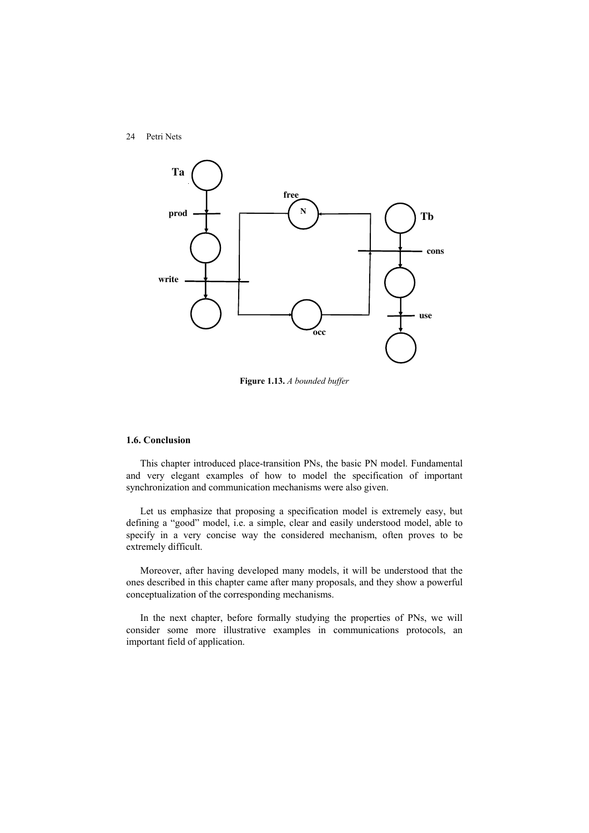

**Figure 1.13.** *A bounded buffer* 

# **1.6. Conclusion**

This chapter introduced place-transition PNs, the basic PN model. Fundamental and very elegant examples of how to model the specification of important synchronization and communication mechanisms were also given.

Let us emphasize that proposing a specification model is extremely easy, but defining a "good" model, i.e. a simple, clear and easily understood model, able to specify in a very concise way the considered mechanism, often proves to be extremely difficult.

Moreover, after having developed many models, it will be understood that the ones described in this chapter came after many proposals, and they show a powerful conceptualization of the corresponding mechanisms.

In the next chapter, before formally studying the properties of PNs, we will consider some more illustrative examples in communications protocols, an important field of application.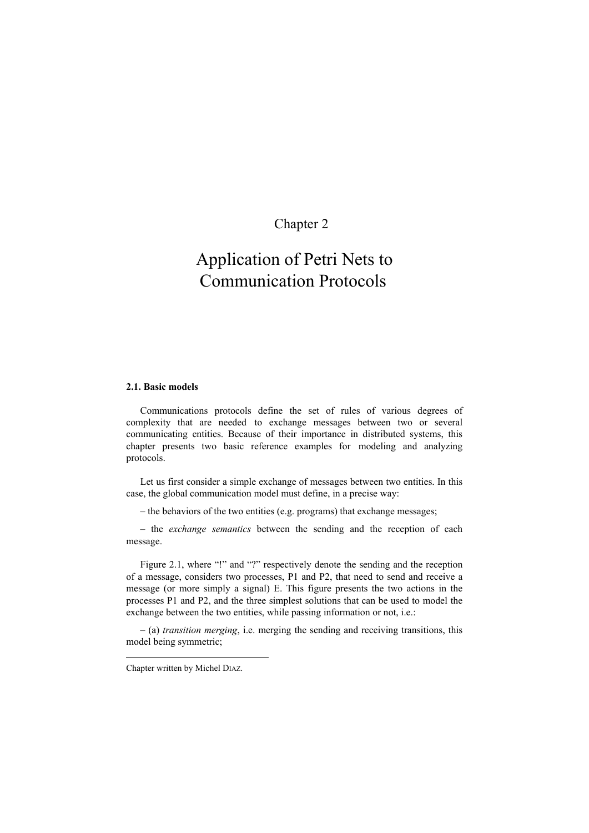Chapter 2

# Application of Petri Nets to Communication Protocols

# **2.1. Basic models**

Communications protocols define the set of rules of various degrees of complexity that are needed to exchange messages between two or several communicating entities. Because of their importance in distributed systems, this chapter presents two basic reference examples for modeling and analyzing protocols.

Let us first consider a simple exchange of messages between two entities. In this case, the global communication model must define, in a precise way:

– the behaviors of the two entities (e.g. programs) that exchange messages;

– the *exchange semantics* between the sending and the reception of each message.

Figure 2.1, where "!" and "?" respectively denote the sending and the reception of a message, considers two processes, P1 and P2, that need to send and receive a message (or more simply a signal) E. This figure presents the two actions in the processes P1 and P2, and the three simplest solutions that can be used to model the exchange between the two entities, while passing information or not, i.e.:

– (a) *transition merging*, i.e. merging the sending and receiving transitions, this model being symmetric;

 $\overline{a}$ 

Chapter written by Michel DIAZ.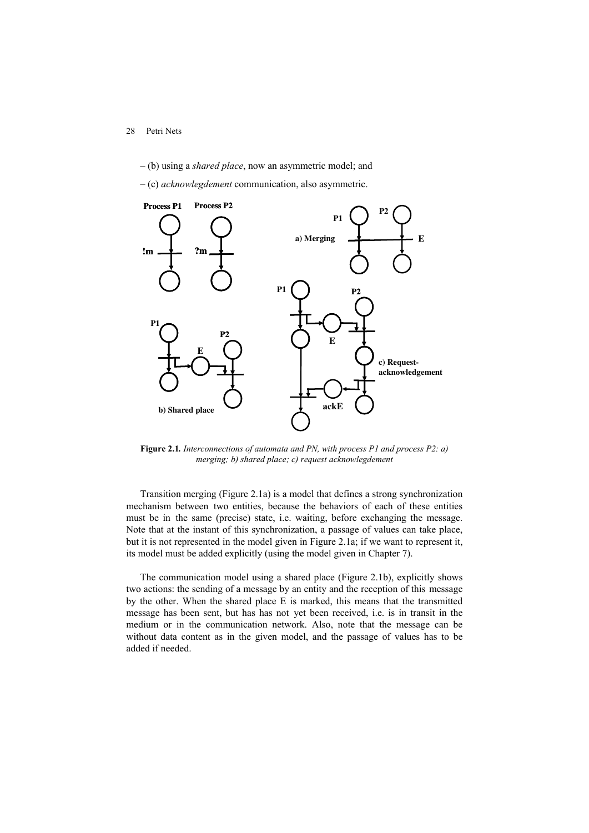– (b) using a *shared place*, now an asymmetric model; and

– (c) *acknowlegdement* communication, also asymmetric.



**Figure 2.1***. Interconnections of automata and PN, with process P1 and process P2: a) merging; b) shared place; c) request acknowlegdement* 

Transition merging (Figure 2.1a) is a model that defines a strong synchronization mechanism between two entities, because the behaviors of each of these entities must be in the same (precise) state, i.e. waiting, before exchanging the message. Note that at the instant of this synchronization, a passage of values can take place, but it is not represented in the model given in Figure 2.1a; if we want to represent it, its model must be added explicitly (using the model given in Chapter 7).

The communication model using a shared place (Figure 2.1b), explicitly shows two actions: the sending of a message by an entity and the reception of this message by the other. When the shared place E is marked, this means that the transmitted message has been sent, but has has not yet been received, i.e. is in transit in the medium or in the communication network. Also, note that the message can be without data content as in the given model, and the passage of values has to be added if needed.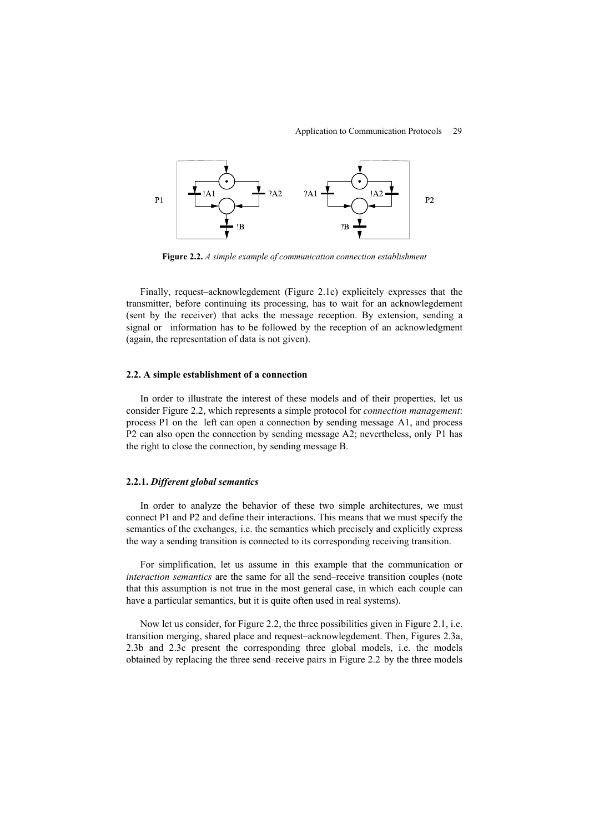#### Application to Communication Protocols 29



**Figure 2.2.** *A simple example of communication connection establishment* 

Finally, request–acknowlegdement (Figure 2.1c) explicitely expresses that the transmitter, before continuing its processing, has to wait for an acknowlegdement (sent by the receiver) that acks the message reception. By extension, sending a signal or information has to be followed by the reception of an acknowledgment (again, the representation of data is not given).

# **2.2. A simple establishment of a connection**

In order to illustrate the interest of these models and of their properties, let us consider Figure 2.2, which represents a simple protocol for *connection management*: process P1 on the left can open a connection by sending message A1, and process P2 can also open the connection by sending message A2; nevertheless, only P1 has the right to close the connection, by sending message B.

# **2.2.1.** *Different global semantics*

In order to analyze the behavior of these two simple architectures, we must connect P1 and P2 and define their interactions. This means that we must specify the semantics of the exchanges, i.e. the semantics which precisely and explicitly express the way a sending transition is connected to its corresponding receiving transition.

For simplification, let us assume in this example that the communication or *interaction semantics* are the same for all the send–receive transition couples (note that this assumption is not true in the most general case, in which each couple can have a particular semantics, but it is quite often used in real systems).

Now let us consider, for Figure 2.2, the three possibilities given in Figure 2.1, i.e. transition merging, shared place and request–acknowlegdement. Then, Figures 2.3a, 2.3b and 2.3c present the corresponding three global models, i.e. the models obtained by replacing the three send–receive pairs in Figure 2.2 by the three models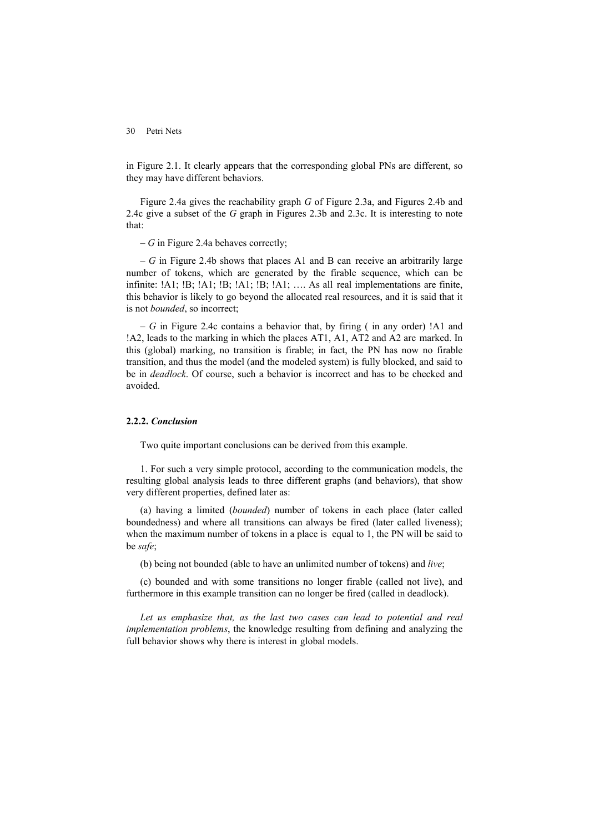in Figure 2.1. It clearly appears that the corresponding global PNs are different, so they may have different behaviors.

Figure 2.4a gives the reachability graph *G* of Figure 2.3a, and Figures 2.4b and 2.4c give a subset of the *G* graph in Figures 2.3b and 2.3c. It is interesting to note that:

*– G* in Figure 2.4a behaves correctly;

*– G* in Figure 2.4b shows that places A1 and B can receive an arbitrarily large number of tokens, which are generated by the firable sequence, which can be infinite: !A1; !B; !A1; !B; !A1; !B; !A1; …. As all real implementations are finite, this behavior is likely to go beyond the allocated real resources, and it is said that it is not *bounded*, so incorrect;

*– G* in Figure 2.4c contains a behavior that, by firing ( in any order) !A1 and !A2, leads to the marking in which the places AT1, A1, AT2 and A2 are marked. In this (global) marking, no transition is firable; in fact, the PN has now no firable transition, and thus the model (and the modeled system) is fully blocked, and said to be in *deadlock*. Of course, such a behavior is incorrect and has to be checked and avoided.

## **2.2.2.** *Conclusion*

Two quite important conclusions can be derived from this example.

1. For such a very simple protocol, according to the communication models, the resulting global analysis leads to three different graphs (and behaviors), that show very different properties, defined later as:

(a) having a limited (*bounded*) number of tokens in each place (later called boundedness) and where all transitions can always be fired (later called liveness); when the maximum number of tokens in a place is equal to 1, the PN will be said to be *safe*;

(b) being not bounded (able to have an unlimited number of tokens) and *live*;

(c) bounded and with some transitions no longer firable (called not live), and furthermore in this example transition can no longer be fired (called in deadlock).

Let us emphasize that, as the last two cases can lead to potential and real *implementation problems*, the knowledge resulting from defining and analyzing the full behavior shows why there is interest in global models.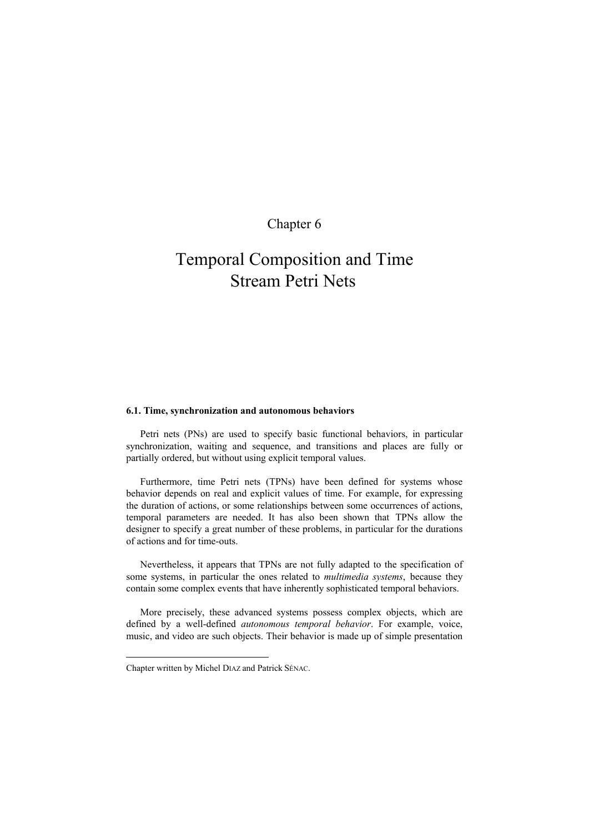# Chapter 6

# Temporal Composition and Time Stream Petri Nets

#### **6.1. Time, synchronization and autonomous behaviors**

Petri nets (PNs) are used to specify basic functional behaviors, in particular synchronization, waiting and sequence, and transitions and places are fully or partially ordered, but without using explicit temporal values.

Furthermore, time Petri nets (TPNs) have been defined for systems whose behavior depends on real and explicit values of time. For example, for expressing the duration of actions, or some relationships between some occurrences of actions, temporal parameters are needed. It has also been shown that TPNs allow the designer to specify a great number of these problems, in particular for the durations of actions and for time-outs.

Nevertheless, it appears that TPNs are not fully adapted to the specification of some systems, in particular the ones related to *multimedia systems*, because they contain some complex events that have inherently sophisticated temporal behaviors.

More precisely, these advanced systems possess complex objects, which are defined by a well-defined *autonomous temporal behavior*. For example, voice, music, and video are such objects. Their behavior is made up of simple presentation

 $\overline{a}$ 

Chapter written by Michel DIAZ and Patrick SÉNAC.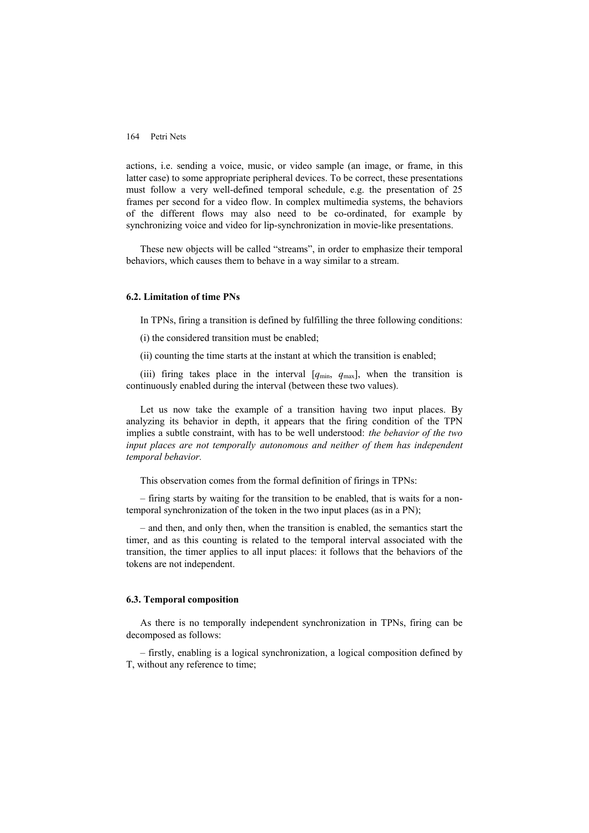actions, i.e. sending a voice, music, or video sample (an image, or frame, in this latter case) to some appropriate peripheral devices. To be correct, these presentations must follow a very well-defined temporal schedule, e.g. the presentation of 25 frames per second for a video flow. In complex multimedia systems, the behaviors of the different flows may also need to be co-ordinated, for example by synchronizing voice and video for lip-synchronization in movie-like presentations.

These new objects will be called "streams", in order to emphasize their temporal behaviors, which causes them to behave in a way similar to a stream.

### **6.2. Limitation of time PNs**

In TPNs, firing a transition is defined by fulfilling the three following conditions:

(i) the considered transition must be enabled;

(ii) counting the time starts at the instant at which the transition is enabled;

(iii) firing takes place in the interval  $[q_{\min}, q_{\max}]$ , when the transition is continuously enabled during the interval (between these two values).

Let us now take the example of a transition having two input places. By analyzing its behavior in depth, it appears that the firing condition of the TPN implies a subtle constraint, with has to be well understood: *the behavior of the two input places are not temporally autonomous and neither of them has independent temporal behavior.*

This observation comes from the formal definition of firings in TPNs:

– firing starts by waiting for the transition to be enabled, that is waits for a nontemporal synchronization of the token in the two input places (as in a PN);

– and then, and only then, when the transition is enabled, the semantics start the timer, and as this counting is related to the temporal interval associated with the transition, the timer applies to all input places: it follows that the behaviors of the tokens are not independent.

#### **6.3. Temporal composition**

As there is no temporally independent synchronization in TPNs, firing can be decomposed as follows:

– firstly, enabling is a logical synchronization, a logical composition defined by T, without any reference to time;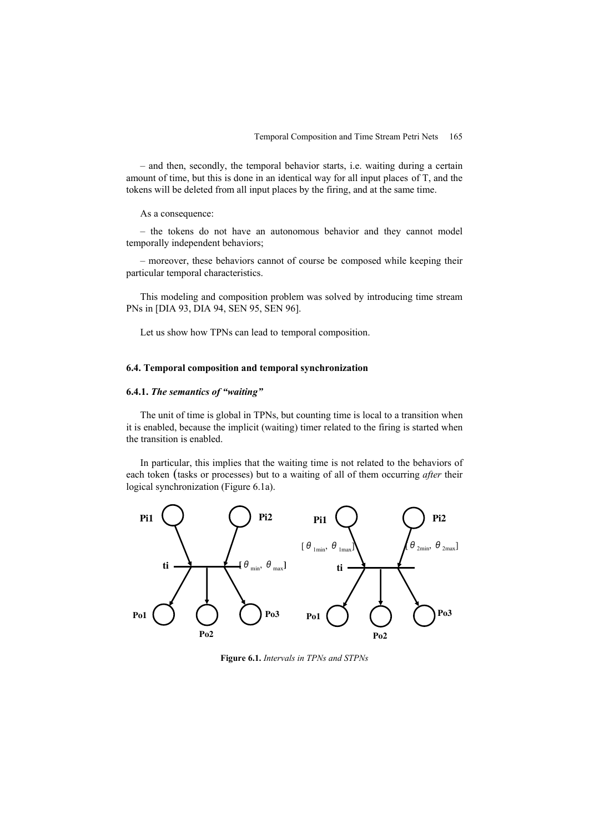– and then, secondly, the temporal behavior starts, i.e. waiting during a certain amount of time, but this is done in an identical way for all input places of T, and the tokens will be deleted from all input places by the firing, and at the same time.

#### As a consequence:

– the tokens do not have an autonomous behavior and they cannot model temporally independent behaviors;

– moreover, these behaviors cannot of course be composed while keeping their particular temporal characteristics.

This modeling and composition problem was solved by introducing time stream PNs in [DIA 93, DIA 94, SEN 95, SEN 96].

Let us show how TPNs can lead to temporal composition.

# **6.4. Temporal composition and temporal synchronization**

# **6.4.1.** *The semantics of "waiting"*

The unit of time is global in TPNs, but counting time is local to a transition when it is enabled, because the implicit (waiting) timer related to the firing is started when the transition is enabled.

In particular, this implies that the waiting time is not related to the behaviors of each token (tasks or processes) but to a waiting of all of them occurring *after* their logical synchronization (Figure 6.1a).



**Figure 6.1.** *Intervals in TPNs and STPNs*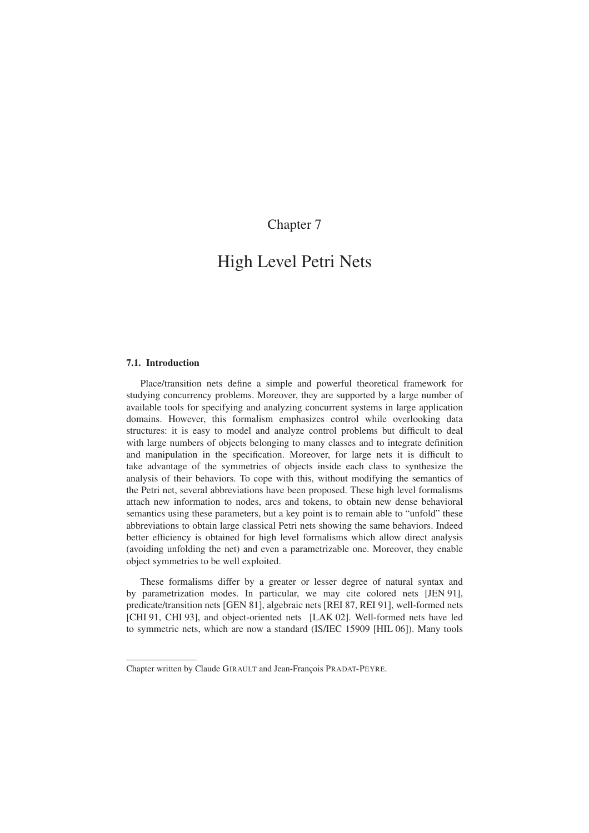# Chapter 7

# High Level Petri Nets

# **7.1. Introduction**

Place/transition nets define a simple and powerful theoretical framework for studying concurrency problems. Moreover, they are supported by a large number of available tools for specifying and analyzing concurrent systems in large application domains. However, this formalism emphasizes control while overlooking data structures: it is easy to model and analyze control problems but difficult to deal with large numbers of objects belonging to many classes and to integrate definition and manipulation in the specification. Moreover, for large nets it is difficult to take advantage of the symmetries of objects inside each class to synthesize the analysis of their behaviors. To cope with this, without modifying the semantics of the Petri net, several abbreviations have been proposed. These high level formalisms attach new information to nodes, arcs and tokens, to obtain new dense behavioral semantics using these parameters, but a key point is to remain able to "unfold" these abbreviations to obtain large classical Petri nets showing the same behaviors. Indeed better efficiency is obtained for high level formalisms which allow direct analysis (avoiding unfolding the net) and even a parametrizable one. Moreover, they enable object symmetries to be well exploited.

These formalisms differ by a greater or lesser degree of natural syntax and by parametrization modes. In particular, we may cite colored nets [JEN 91], predicate/transition nets [GEN 81], algebraic nets [REI 87, REI 91], well-formed nets [CHI 91, CHI 93], and object-oriented nets [LAK 02]. Well-formed nets have led to symmetric nets, which are now a standard (IS/IEC 15909 [HIL 06]). Many tools

Chapter written by Claude GIRAULT and Jean-François PRADAT-PEYRE.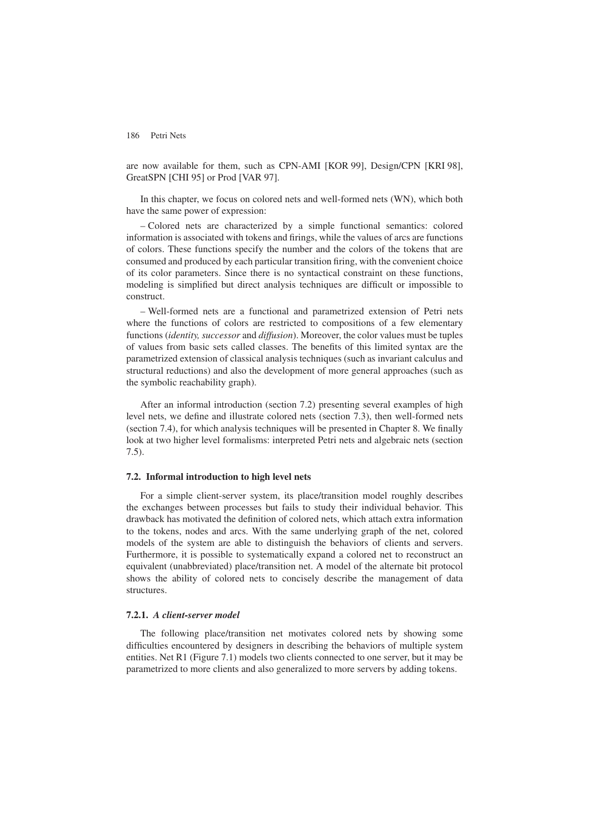are now available for them, such as CPN-AMI [KOR 99], Design/CPN [KRI 98], GreatSPN [CHI 95] or Prod [VAR 97].

In this chapter, we focus on colored nets and well-formed nets (WN), which both have the same power of expression:

– Colored nets are characterized by a simple functional semantics: colored information is associated with tokens and firings, while the values of arcs are functions of colors. These functions specify the number and the colors of the tokens that are consumed and produced by each particular transition firing, with the convenient choice of its color parameters. Since there is no syntactical constraint on these functions, modeling is simplified but direct analysis techniques are difficult or impossible to construct.

– Well-formed nets are a functional and parametrized extension of Petri nets where the functions of colors are restricted to compositions of a few elementary functions (*identity, successor* and *diffusion*). Moreover, the color values must be tuples of values from basic sets called classes. The benefits of this limited syntax are the parametrized extension of classical analysis techniques (such as invariant calculus and structural reductions) and also the development of more general approaches (such as the symbolic reachability graph).

After an informal introduction (section 7.2) presenting several examples of high level nets, we define and illustrate colored nets (section 7.3), then well-formed nets (section 7.4), for which analysis techniques will be presented in Chapter 8. We finally look at two higher level formalisms: interpreted Petri nets and algebraic nets (section 7.5).

#### **7.2. Informal introduction to high level nets**

For a simple client-server system, its place/transition model roughly describes the exchanges between processes but fails to study their individual behavior. This drawback has motivated the definition of colored nets, which attach extra information to the tokens, nodes and arcs. With the same underlying graph of the net, colored models of the system are able to distinguish the behaviors of clients and servers. Furthermore, it is possible to systematically expand a colored net to reconstruct an equivalent (unabbreviated) place/transition net. A model of the alternate bit protocol shows the ability of colored nets to concisely describe the management of data structures.

#### **7.2.1.** *A client-server model*

The following place/transition net motivates colored nets by showing some difficulties encountered by designers in describing the behaviors of multiple system entities. Net R1 (Figure 7.1) models two clients connected to one server, but it may be parametrized to more clients and also generalized to more servers by adding tokens.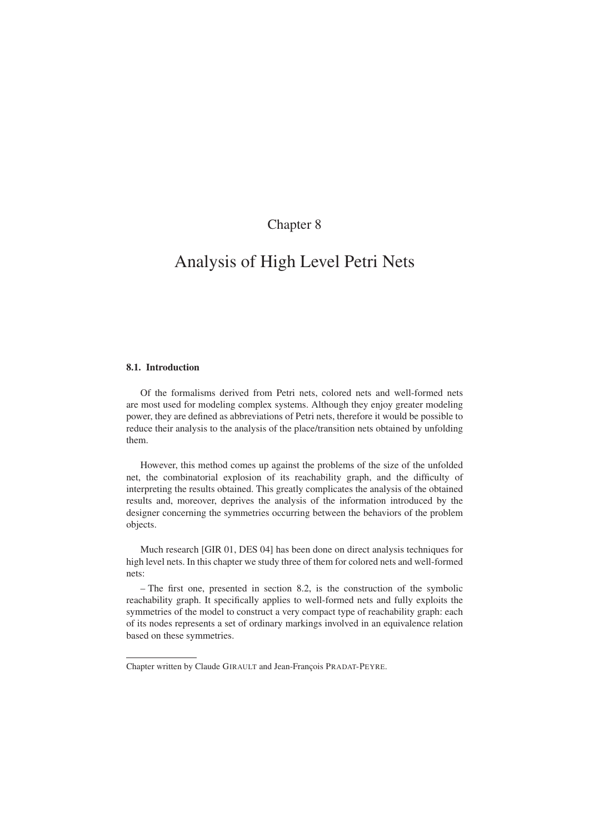# Chapter 8

# Analysis of High Level Petri Nets

# **8.1. Introduction**

Of the formalisms derived from Petri nets, colored nets and well-formed nets are most used for modeling complex systems. Although they enjoy greater modeling power, they are defined as abbreviations of Petri nets, therefore it would be possible to reduce their analysis to the analysis of the place/transition nets obtained by unfolding them.

However, this method comes up against the problems of the size of the unfolded net, the combinatorial explosion of its reachability graph, and the difficulty of interpreting the results obtained. This greatly complicates the analysis of the obtained results and, moreover, deprives the analysis of the information introduced by the designer concerning the symmetries occurring between the behaviors of the problem objects.

Much research [GIR 01, DES 04] has been done on direct analysis techniques for high level nets. In this chapter we study three of them for colored nets and well-formed nets:

– The first one, presented in section 8.2, is the construction of the symbolic reachability graph. It specifically applies to well-formed nets and fully exploits the symmetries of the model to construct a very compact type of reachability graph: each of its nodes represents a set of ordinary markings involved in an equivalence relation based on these symmetries.

Chapter written by Claude GIRAULT and Jean-François PRADAT-PEYRE.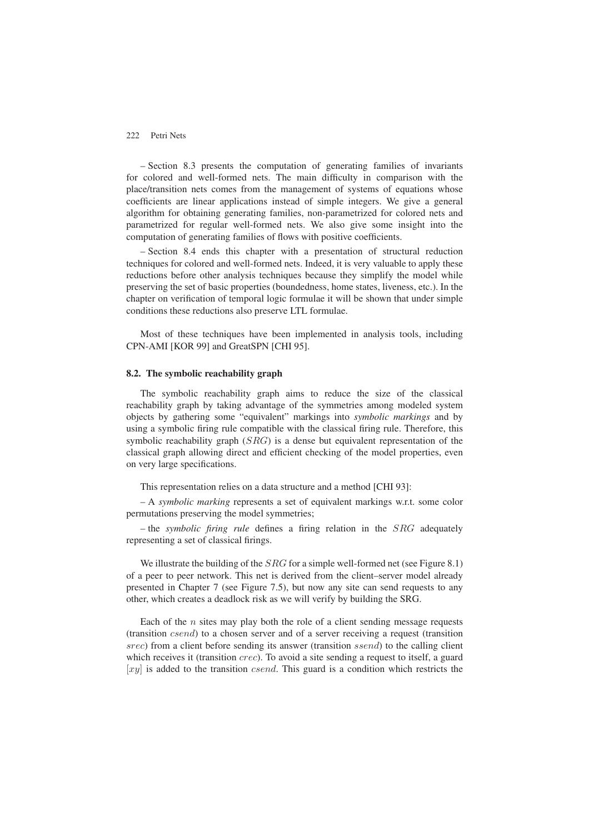– Section 8.3 presents the computation of generating families of invariants for colored and well-formed nets. The main difficulty in comparison with the place/transition nets comes from the management of systems of equations whose coefficients are linear applications instead of simple integers. We give a general algorithm for obtaining generating families, non-parametrized for colored nets and parametrized for regular well-formed nets. We also give some insight into the computation of generating families of flows with positive coefficients.

– Section 8.4 ends this chapter with a presentation of structural reduction techniques for colored and well-formed nets. Indeed, it is very valuable to apply these reductions before other analysis techniques because they simplify the model while preserving the set of basic properties (boundedness, home states, liveness, etc.). In the chapter on verification of temporal logic formulae it will be shown that under simple conditions these reductions also preserve LTL formulae.

Most of these techniques have been implemented in analysis tools, including CPN-AMI [KOR 99] and GreatSPN [CHI 95].

# **8.2. The symbolic reachability graph**

The symbolic reachability graph aims to reduce the size of the classical reachability graph by taking advantage of the symmetries among modeled system objects by gathering some "equivalent" markings into *symbolic markings* and by using a symbolic firing rule compatible with the classical firing rule. Therefore, this symbolic reachability graph (SRG) is a dense but equivalent representation of the classical graph allowing direct and efficient checking of the model properties, even on very large specifications.

This representation relies on a data structure and a method [CHI 93]:

– A *symbolic marking* represents a set of equivalent markings w.r.t. some color permutations preserving the model symmetries;

– the *symbolic firing rule* defines a firing relation in the SRG adequately representing a set of classical firings.

We illustrate the building of the  $SRG$  for a simple well-formed net (see Figure 8.1) of a peer to peer network. This net is derived from the client–server model already presented in Chapter 7 (see Figure 7.5), but now any site can send requests to any other, which creates a deadlock risk as we will verify by building the SRG.

Each of the  $n$  sites may play both the role of a client sending message requests (transition csend) to a chosen server and of a server receiving a request (transition srec) from a client before sending its answer (transition ssend) to the calling client which receives it (transition *crec*). To avoid a site sending a request to itself, a guard  $[xy]$  is added to the transition *csend*. This guard is a condition which restricts the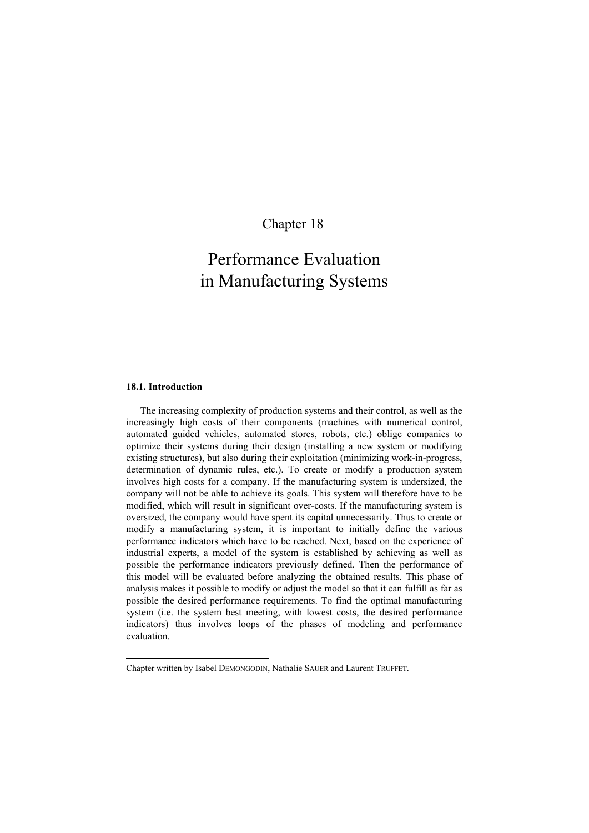# Chapter 18

# Performance Evaluation in Manufacturing Systems

# **18.1. Introduction**

 $\overline{\phantom{a}}$ 

The increasing complexity of production systems and their control, as well as the increasingly high costs of their components (machines with numerical control, automated guided vehicles, automated stores, robots, etc.) oblige companies to optimize their systems during their design (installing a new system or modifying existing structures), but also during their exploitation (minimizing work-in-progress, determination of dynamic rules, etc.). To create or modify a production system involves high costs for a company. If the manufacturing system is undersized, the company will not be able to achieve its goals. This system will therefore have to be modified, which will result in significant over-costs. If the manufacturing system is oversized, the company would have spent its capital unnecessarily. Thus to create or modify a manufacturing system, it is important to initially define the various performance indicators which have to be reached. Next, based on the experience of industrial experts, a model of the system is established by achieving as well as possible the performance indicators previously defined. Then the performance of this model will be evaluated before analyzing the obtained results. This phase of analysis makes it possible to modify or adjust the model so that it can fulfill as far as possible the desired performance requirements. To find the optimal manufacturing system (i.e. the system best meeting, with lowest costs, the desired performance indicators) thus involves loops of the phases of modeling and performance evaluation.

Chapter written by Isabel DEMONGODIN, Nathalie SAUER and Laurent TRUFFET.